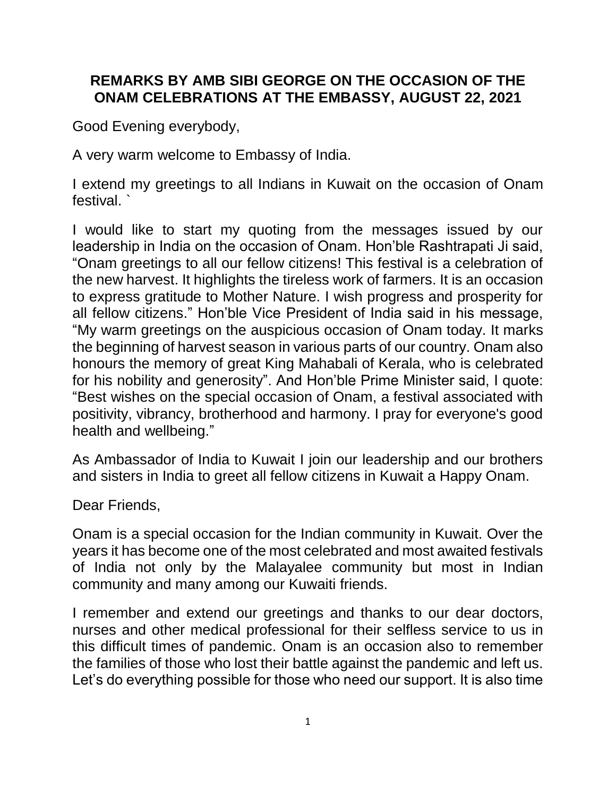## **REMARKS BY AMB SIBI GEORGE ON THE OCCASION OF THE ONAM CELEBRATIONS AT THE EMBASSY, AUGUST 22, 2021**

Good Evening everybody,

A very warm welcome to Embassy of India.

I extend my greetings to all Indians in Kuwait on the occasion of Onam festival. `

I would like to start my quoting from the messages issued by our leadership in India on the occasion of Onam. Hon'ble Rashtrapati Ji said, "Onam greetings to all our fellow citizens! This festival is a celebration of the new harvest. It highlights the tireless work of farmers. It is an occasion to express gratitude to Mother Nature. I wish progress and prosperity for all fellow citizens." Hon'ble Vice President of India said in his message, "My warm greetings on the auspicious occasion of Onam today. It marks the beginning of harvest season in various parts of our country. Onam also honours the memory of great King Mahabali of Kerala, who is celebrated for his nobility and generosity". And Hon'ble Prime Minister said, I quote: "Best wishes on the special occasion of Onam, a festival associated with positivity, vibrancy, brotherhood and harmony. I pray for everyone's good health and wellbeing."

As Ambassador of India to Kuwait I join our leadership and our brothers and sisters in India to greet all fellow citizens in Kuwait a Happy Onam.

Dear Friends,

Onam is a special occasion for the Indian community in Kuwait. Over the years it has become one of the most celebrated and most awaited festivals of India not only by the Malayalee community but most in Indian community and many among our Kuwaiti friends.

I remember and extend our greetings and thanks to our dear doctors, nurses and other medical professional for their selfless service to us in this difficult times of pandemic. Onam is an occasion also to remember the families of those who lost their battle against the pandemic and left us. Let's do everything possible for those who need our support. It is also time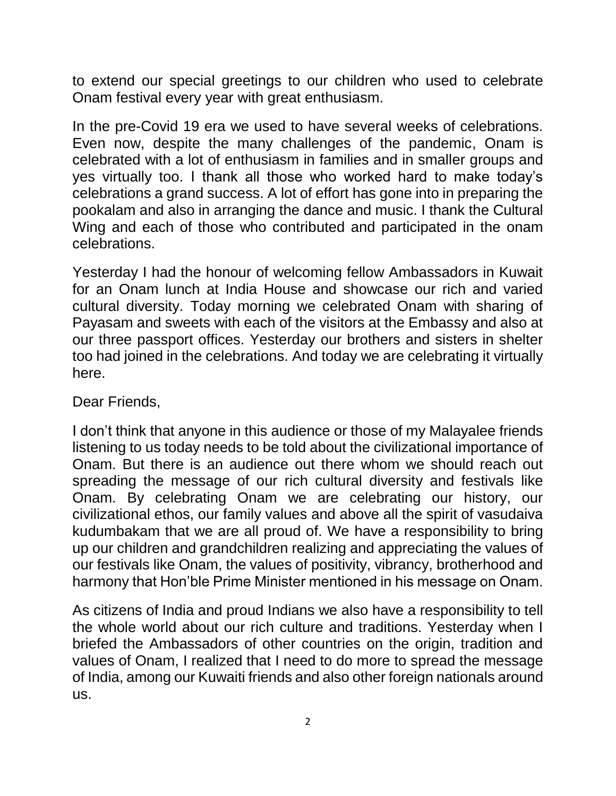to extend our special greetings to our children who used to celebrate Onam festival every year with great enthusiasm.

In the pre-Covid 19 era we used to have several weeks of celebrations. Even now, despite the many challenges of the pandemic, Onam is celebrated with a lot of enthusiasm in families and in smaller groups and yes virtually too. I thank all those who worked hard to make today's celebrations a grand success. A lot of effort has gone into in preparing the pookalam and also in arranging the dance and music. I thank the Cultural Wing and each of those who contributed and participated in the onam celebrations.

Yesterday I had the honour of welcoming fellow Ambassadors in Kuwait for an Onam lunch at India House and showcase our rich and varied cultural diversity. Today morning we celebrated Onam with sharing of Payasam and sweets with each of the visitors at the Embassy and also at our three passport offices. Yesterday our brothers and sisters in shelter too had joined in the celebrations. And today we are celebrating it virtually here.

Dear Friends,

I don't think that anyone in this audience or those of my Malayalee friends listening to us today needs to be told about the civilizational importance of Onam. But there is an audience out there whom we should reach out spreading the message of our rich cultural diversity and festivals like Onam. By celebrating Onam we are celebrating our history, our civilizational ethos, our family values and above all the spirit of vasudaiva kudumbakam that we are all proud of. We have a responsibility to bring up our children and grandchildren realizing and appreciating the values of our festivals like Onam, the values of positivity, vibrancy, brotherhood and harmony that Hon'ble Prime Minister mentioned in his message on Onam.

As citizens of India and proud Indians we also have a responsibility to tell the whole world about our rich culture and traditions. Yesterday when I briefed the Ambassadors of other countries on the origin, tradition and values of Onam, I realized that I need to do more to spread the message of India, among our Kuwaiti friends and also other foreign nationals around us.